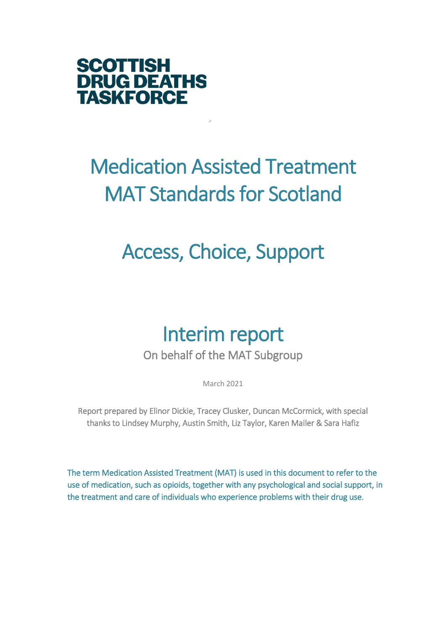

# Medication Assisted Treatment MAT Standards for Scotland

# Access, Choice, Support

# Interim report

On behalf of the MAT Subgroup

March 2021

Report prepared by Elinor Dickie, Tracey Clusker, Duncan McCormick, with special thanks to Lindsey Murphy, Austin Smith, Liz Taylor, Karen Mailer & Sara Hafiz

The term Medication Assisted Treatment (MAT) is used in this document to refer to the use of medication, such as opioids, together with any psychological and social support, in the treatment and care of individuals who experience problems with their drug use.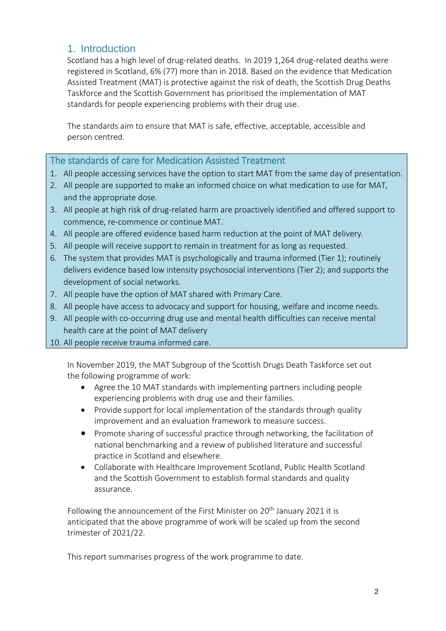## 1. Introduction

Scotland has a high level of drug-related deaths. In 2019 1,264 drug-related deaths were registered in Scotland, 6% (77) more than in 2018. Based on the evidence that Medication Assisted Treatment (MAT) is protective against the risk of death, the Scottish Drug Deaths Taskforce and the Scottish Government has prioritised the implementation of MAT standards for people experiencing problems with their drug use.

The standards aim to ensure that MAT is safe, effective, acceptable, accessible and person centred.

## The standards of care for Medication Assisted Treatment

- 1. All people accessing services have the option to start MAT from the same day of presentation.
- 2. All people are supported to make an informed choice on what medication to use for MAT, and the appropriate dose.
- 3. All people at high risk of drug-related harm are proactively identified and offered support to commence, re-commence or continue MAT.
- 4. All people are offered evidence based harm reduction at the point of MAT delivery.
- 5. All people will receive support to remain in treatment for as long as requested.
- 6. The system that provides MAT is psychologically and trauma informed (Tier 1); routinely delivers evidence based low intensity psychosocial interventions (Tier 2); and supports the development of social networks.
- 7. All people have the option of MAT shared with Primary Care.
- 8. All people have access to advocacy and support for housing, welfare and income needs.
- 9. All people with co-occurring drug use and mental health difficulties can receive mental health care at the point of MAT delivery
- 10. All people receive trauma informed care.

In November 2019, the MAT Subgroup of the Scottish Drugs Death Taskforce set out the following programme of work:

- Agree the 10 MAT standards with implementing partners including people experiencing problems with drug use and their families.
- Provide support for local implementation of the standards through quality improvement and an evaluation framework to measure success.
- Promote sharing of successful practice through networking, the facilitation of national benchmarking and a review of published literature and successful practice in Scotland and elsewhere.
- Collaborate with Healthcare Improvement Scotland, Public Health Scotland and the Scottish Government to establish formal standards and quality assurance.

Following the announcement of the First Minister on 20<sup>th</sup> January 2021 it is anticipated that the above programme of work will be scaled up from the second trimester of 2021/22.

This report summarises progress of the work programme to date.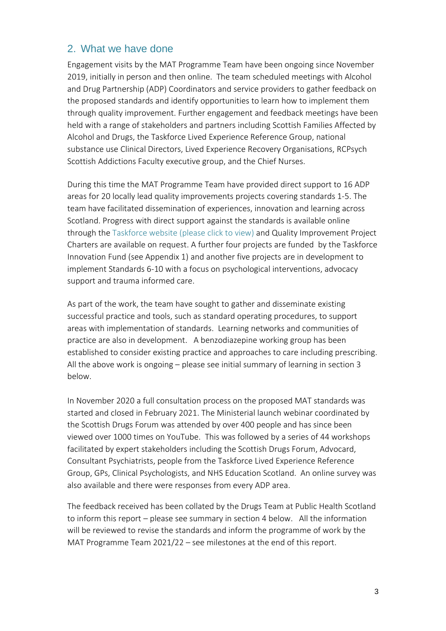## 2. What we have done

Engagement visits by the MAT Programme Team have been ongoing since November 2019, initially in person and then online. The team scheduled meetings with Alcohol and Drug Partnership (ADP) Coordinators and service providers to gather feedback on the proposed standards and identify opportunities to learn how to implement them through quality improvement. Further engagement and feedback meetings have been held with a range of stakeholders and partners including Scottish Families Affected by Alcohol and Drugs, the Taskforce Lived Experience Reference Group, national substance use Clinical Directors, Lived Experience Recovery Organisations, RCPsych Scottish Addictions Faculty executive group, and the Chief Nurses.

During this time the MAT Programme Team have provided direct support to 16 ADP areas for 20 locally lead quality improvements projects covering standards 1-5. The team have facilitated dissemination of experiences, innovation and learning across Scotland. Progress with direct support against the standards is available online through the [Taskforce website \(please click to view\)](https://drugdeathstaskforce.scot/our-work/optimising-the-use-of-medication-assisted-treatment/) and Quality Improvement Project Charters are available on request. A further four projects are funded by the Taskforce Innovation Fund (see Appendix 1) and another five projects are in development to implement Standards 6-10 with a focus on psychological interventions, advocacy support and trauma informed care.

As part of the work, the team have sought to gather and disseminate existing successful practice and tools, such as standard operating procedures, to support areas with implementation of standards. Learning networks and communities of practice are also in development. A benzodiazepine working group has been established to consider existing practice and approaches to care including prescribing. All the above work is ongoing – please see initial summary of learning in section 3 below.

In November 2020 a full consultation process on the proposed MAT standards was started and closed in February 2021. The Ministerial launch webinar coordinated by the Scottish Drugs Forum was attended by over 400 people and has since been viewed over 1000 times on YouTube. This was followed by a series of 44 workshops facilitated by expert stakeholders including the Scottish Drugs Forum, Advocard, Consultant Psychiatrists, people from the Taskforce Lived Experience Reference Group, GPs, Clinical Psychologists, and NHS Education Scotland. An online survey was also available and there were responses from every ADP area.

The feedback received has been collated by the Drugs Team at Public Health Scotland to inform this report – please see summary in section 4 below. All the information will be reviewed to revise the standards and inform the programme of work by the MAT Programme Team 2021/22 – see milestones at the end of this report.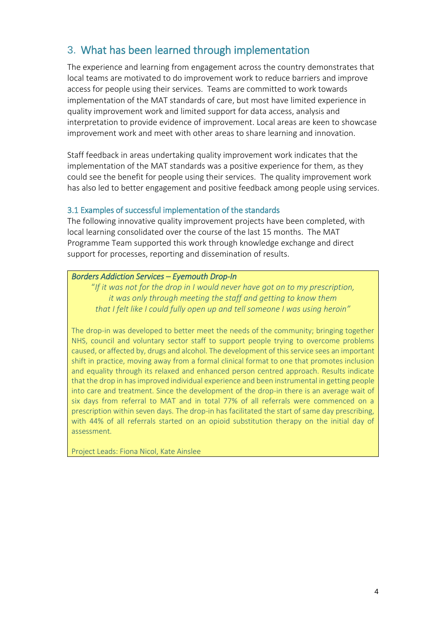# 3. What has been learned through implementation

The experience and learning from engagement across the country demonstrates that local teams are motivated to do improvement work to reduce barriers and improve access for people using their services. Teams are committed to work towards implementation of the MAT standards of care, but most have limited experience in quality improvement work and limited support for data access, analysis and interpretation to provide evidence of improvement. Local areas are keen to showcase improvement work and meet with other areas to share learning and innovation.

Staff feedback in areas undertaking quality improvement work indicates that the implementation of the MAT standards was a positive experience for them, as they could see the benefit for people using their services. The quality improvement work has also led to better engagement and positive feedback among people using services.

#### 3.1 Examples of successful implementation of the standards

The following innovative quality improvement projects have been completed, with local learning consolidated over the course of the last 15 months. The MAT Programme Team supported this work through knowledge exchange and direct support for processes, reporting and dissemination of results.

#### *Borders Addiction Services – Eyemouth Drop-In*

"*If it was not for the drop in I would never have got on to my prescription, it was only through meeting the staff and getting to know them that I felt like I could fully open up and tell someone I was using heroin"*

The drop-in was developed to better meet the needs of the community; bringing together NHS, council and voluntary sector staff to support people trying to overcome problems caused, or affected by, drugs and alcohol. The development of this service sees an important shift in practice, moving away from a formal clinical format to one that promotes inclusion and equality through its relaxed and enhanced person centred approach. Results indicate that the drop in has improved individual experience and been instrumental in getting people into care and treatment. Since the development of the drop-in there is an average wait of six days from referral to MAT and in total 77% of all referrals were commenced on a prescription within seven days. The drop-in has facilitated the start of same day prescribing, with 44% of all referrals started on an opioid substitution therapy on the initial day of assessment.

Project Leads: Fiona Nicol, Kate Ainslee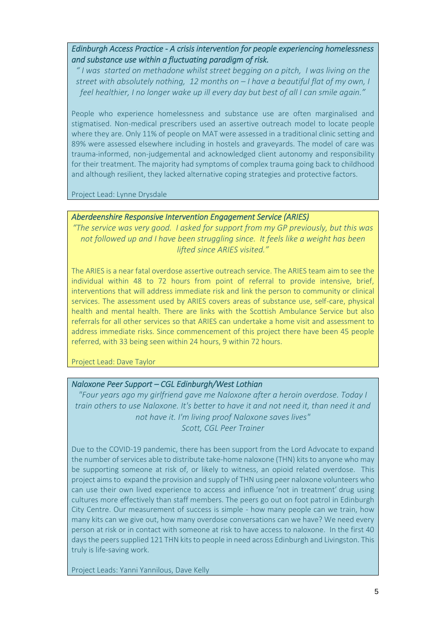*Edinburgh Access Practice - A crisis intervention for people experiencing homelessness and substance use within a fluctuating paradigm of risk.* 

*" I was started on methadone whilst street begging on a pitch, I was living on the street with absolutely nothing, 12 months on – I have a beautiful flat of my own, I feel healthier, I no longer wake up ill every day but best of all I can smile again."*

People who experience homelessness and substance use are often marginalised and stigmatised. Non-medical prescribers used an assertive outreach model to locate people where they are. Only 11% of people on MAT were assessed in a traditional clinic setting and 89% were assessed elsewhere including in hostels and graveyards. The model of care was trauma-informed, non-judgemental and acknowledged client autonomy and responsibility for their treatment. The majority had symptoms of complex trauma going back to childhood and although resilient, they lacked alternative coping strategies and protective factors.

Project Lead: Lynne Drysdale

#### *Aberdeenshire Responsive Intervention Engagement Service (ARIES)*

*"The service was very good. I asked for support from my GP previously, but this was not followed up and I have been struggling since. It feels like a weight has been lifted since ARIES visited."*

The ARIES is a near fatal overdose assertive outreach service. The ARIES team aim to see the individual within 48 to 72 hours from point of referral to provide intensive, brief, interventions that will address immediate risk and link the person to community or clinical services. The assessment used by ARIES covers areas of substance use, self-care, physical health and mental health. There are links with the Scottish Ambulance Service but also referrals for all other services so that ARIES can undertake a home visit and assessment to address immediate risks. Since commencement of this project there have been 45 people referred, with 33 being seen within 24 hours, 9 within 72 hours.

Project Lead: Dave Taylor

#### *Naloxone Peer Support – CGL Edinburgh/West Lothian*

*"Four years ago my girlfriend gave me Naloxone after a heroin overdose. Today I train others to use Naloxone. It's better to have it and not need it, than need it and not have it. I'm living proof Naloxone saves lives" Scott, CGL Peer Trainer*

Due to the COVID-19 pandemic, there has been support from the Lord Advocate to expand the number of services able to distribute take-home naloxone (THN) kits to anyone who may be supporting someone at risk of, or likely to witness, an opioid related overdose. This project aims to expand the provision and supply of THN using peer naloxone volunteers who can use their own lived experience to access and influence 'not in treatment' drug using cultures more effectively than staff members. The peers go out on foot patrol in Edinburgh City Centre. Our measurement of success is simple - how many people can we train, how many kits can we give out, how many overdose conversations can we have? We need every person at risk or in contact with someone at risk to have access to naloxone. In the first 40 days the peers supplied 121 THN kits to people in need across Edinburgh and Livingston. This truly is life-saving work.

Project Leads: Yanni Yannilous, Dave Kelly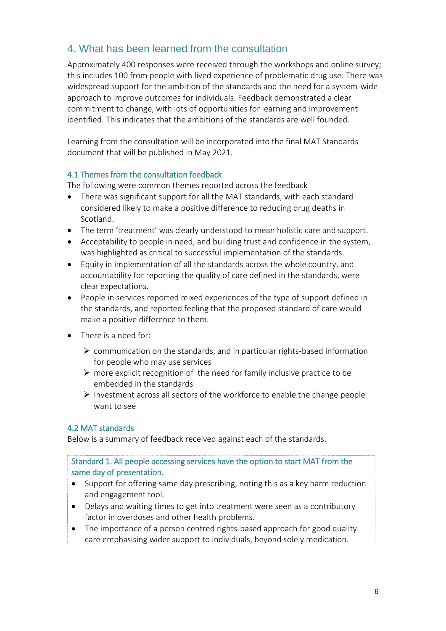## 4. What has been learned from the consultation

Approximately 400 responses were received through the workshops and online survey; this includes 100 from people with lived experience of problematic drug use. There was widespread support for the ambition of the standards and the need for a system-wide approach to improve outcomes for individuals. Feedback demonstrated a clear commitment to change, with lots of opportunities for learning and improvement identified. This indicates that the ambitions of the standards are well founded.

Learning from the consultation will be incorporated into the final MAT Standards document that will be published in May 2021.

#### 4.1 Themes from the consultation feedback

The following were common themes reported across the feedback

- There was significant support for all the MAT standards, with each standard considered likely to make a positive difference to reducing drug deaths in Scotland.
- The term 'treatment' was clearly understood to mean holistic care and support.
- Acceptability to people in need, and building trust and confidence in the system, was highlighted as critical to successful implementation of the standards.
- Equity in implementation of all the standards across the whole country, and accountability for reporting the quality of care defined in the standards, were clear expectations.
- People in services reported mixed experiences of the type of support defined in the standards, and reported feeling that the proposed standard of care would make a positive difference to them.
- There is a need for:
	- communication on the standards, and in particular rights-based information for people who may use services
	- $\triangleright$  more explicit recognition of the need for family inclusive practice to be embedded in the standards
	- $\triangleright$  Investment across all sectors of the workforce to enable the change people want to see

#### 4.2 MAT standards

Below is a summary of feedback received against each of the standards.

#### Standard 1. All people accessing services have the option to start MAT from the same day of presentation.

- Support for offering same day prescribing, noting this as a key harm reduction and engagement tool.
- Delays and waiting times to get into treatment were seen as a contributory factor in overdoses and other health problems.
- The importance of a person centred rights-based approach for good quality care emphasising wider support to individuals, beyond solely medication.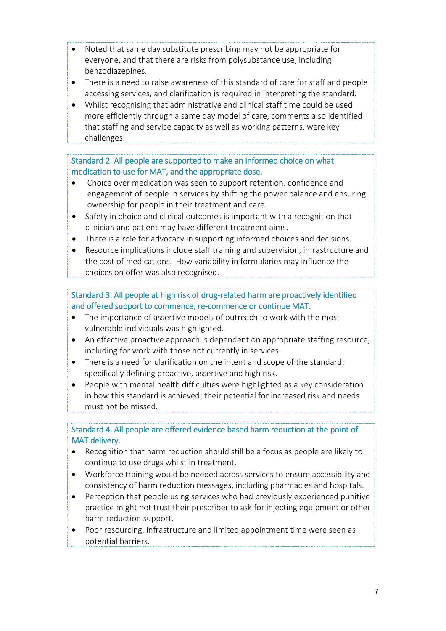- Noted that same day substitute prescribing may not be appropriate for everyone, and that there are risks from polysubstance use, including benzodiazepines.
- There is a need to raise awareness of this standard of care for staff and people accessing services, and clarification is required in interpreting the standard.
- Whilst recognising that administrative and clinical staff time could be used more efficiently through a same day model of care, comments also identified that staffing and service capacity as well as working patterns, were key challenges.

## Standard 2. All people are supported to make an informed choice on what medication to use for MAT, and the appropriate dose.

- Choice over medication was seen to support retention, confidence and engagement of people in services by shifting the power balance and ensuring ownership for people in their treatment and care.
- Safety in choice and clinical outcomes is important with a recognition that clinician and patient may have different treatment aims.
- There is a role for advocacy in supporting informed choices and decisions.
- Resource implications include staff training and supervision, infrastructure and the cost of medications. How variability in formularies may influence the choices on offer was also recognised.

## Standard 3. All people at high risk of drug-related harm are proactively identified and offered support to commence, re-commence or continue MAT.

- The importance of assertive models of outreach to work with the most vulnerable individuals was highlighted.
- An effective proactive approach is dependent on appropriate staffing resource, including for work with those not currently in services.
- There is a need for clarification on the intent and scope of the standard; specifically defining proactive, assertive and high risk.
- People with mental health difficulties were highlighted as a key consideration in how this standard is achieved; their potential for increased risk and needs must not be missed.

## Standard 4. All people are offered evidence based harm reduction at the point of MAT delivery.

- Recognition that harm reduction should still be a focus as people are likely to continue to use drugs whilst in treatment.
- Workforce training would be needed across services to ensure accessibility and consistency of harm reduction messages, including pharmacies and hospitals.
- Perception that people using services who had previously experienced punitive practice might not trust their prescriber to ask for injecting equipment or other harm reduction support.
- Poor resourcing, infrastructure and limited appointment time were seen as potential barriers.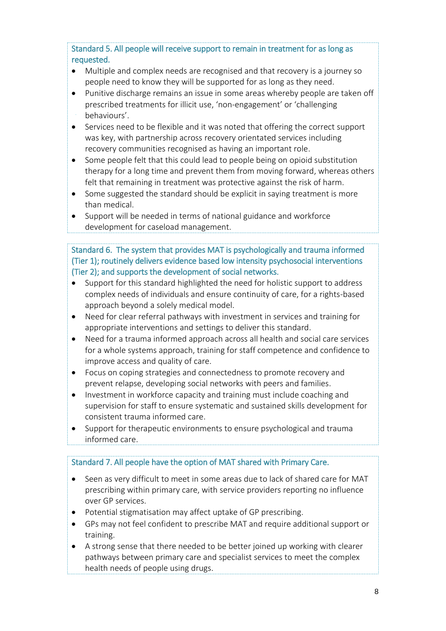Standard 5. All people will receive support to remain in treatment for as long as requested.

- Multiple and complex needs are recognised and that recovery is a journey so people need to know they will be supported for as long as they need.
- Punitive discharge remains an issue in some areas whereby people are taken off prescribed treatments for illicit use, 'non-engagement' or 'challenging behaviours'.
- Services need to be flexible and it was noted that offering the correct support was key, with partnership across recovery orientated services including recovery communities recognised as having an important role.
- Some people felt that this could lead to people being on opioid substitution therapy for a long time and prevent them from moving forward, whereas others felt that remaining in treatment was protective against the risk of harm.
- Some suggested the standard should be explicit in saying treatment is more than medical.
- Support will be needed in terms of national guidance and workforce development for caseload management.

## Standard 6. The system that provides MAT is psychologically and trauma informed (Tier 1); routinely delivers evidence based low intensity psychosocial interventions (Tier 2); and supports the development of social networks.

- Support for this standard highlighted the need for holistic support to address complex needs of individuals and ensure continuity of care, for a rights-based approach beyond a solely medical model.
- Need for clear referral pathways with investment in services and training for appropriate interventions and settings to deliver this standard.
- Need for a trauma informed approach across all health and social care services for a whole systems approach, training for staff competence and confidence to improve access and quality of care.
- Focus on coping strategies and connectedness to promote recovery and prevent relapse, developing social networks with peers and families.
- Investment in workforce capacity and training must include coaching and supervision for staff to ensure systematic and sustained skills development for consistent trauma informed care.
- Support for therapeutic environments to ensure psychological and trauma informed care.

## Standard 7. All people have the option of MAT shared with Primary Care.

- Seen as very difficult to meet in some areas due to lack of shared care for MAT prescribing within primary care, with service providers reporting no influence over GP services.
- Potential stigmatisation may affect uptake of GP prescribing.
- GPs may not feel confident to prescribe MAT and require additional support or training.
- A strong sense that there needed to be better joined up working with clearer pathways between primary care and specialist services to meet the complex health needs of people using drugs.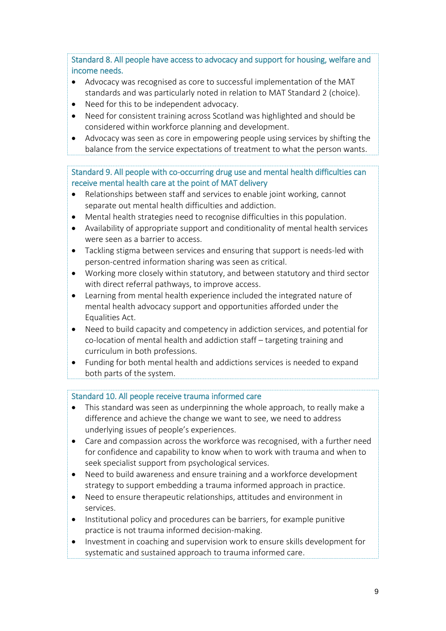Standard 8. All people have access to advocacy and support for housing, welfare and income needs.

- Advocacy was recognised as core to successful implementation of the MAT standards and was particularly noted in relation to MAT Standard 2 (choice).
- Need for this to be independent advocacy.
- Need for consistent training across Scotland was highlighted and should be considered within workforce planning and development.
- Advocacy was seen as core in empowering people using services by shifting the balance from the service expectations of treatment to what the person wants.

### Standard 9. All people with co-occurring drug use and mental health difficulties can receive mental health care at the point of MAT delivery

- Relationships between staff and services to enable joint working, cannot separate out mental health difficulties and addiction.
- Mental health strategies need to recognise difficulties in this population.
- Availability of appropriate support and conditionality of mental health services were seen as a barrier to access.
- Tackling stigma between services and ensuring that support is needs-led with person-centred information sharing was seen as critical.
- Working more closely within statutory, and between statutory and third sector with direct referral pathways, to improve access.
- Learning from mental health experience included the integrated nature of mental health advocacy support and opportunities afforded under the Equalities Act.
- Need to build capacity and competency in addiction services, and potential for co-location of mental health and addiction staff – targeting training and curriculum in both professions.
- Funding for both mental health and addictions services is needed to expand both parts of the system.

## Standard 10. All people receive trauma informed care

- This standard was seen as underpinning the whole approach, to really make a difference and achieve the change we want to see, we need to address underlying issues of people's experiences.
- Care and compassion across the workforce was recognised, with a further need for confidence and capability to know when to work with trauma and when to seek specialist support from psychological services.
- Need to build awareness and ensure training and a workforce development strategy to support embedding a trauma informed approach in practice.
- Need to ensure therapeutic relationships, attitudes and environment in services.
- Institutional policy and procedures can be barriers, for example punitive practice is not trauma informed decision-making.
- Investment in coaching and supervision work to ensure skills development for systematic and sustained approach to trauma informed care.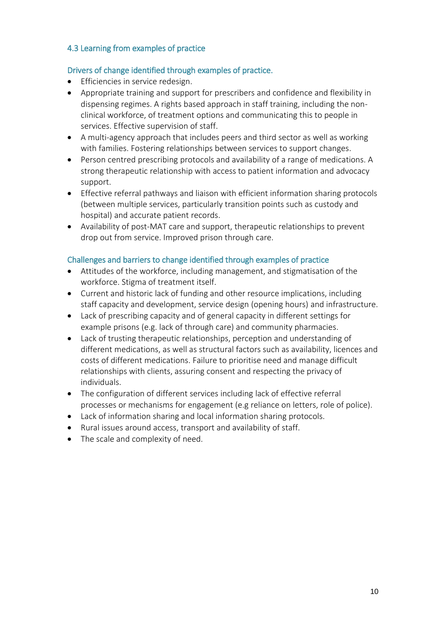## 4.3 Learning from examples of practice

### Drivers of change identified through examples of practice.

- **•** Efficiencies in service redesign.
- Appropriate training and support for prescribers and confidence and flexibility in dispensing regimes. A rights based approach in staff training, including the nonclinical workforce, of treatment options and communicating this to people in services. Effective supervision of staff.
- A multi-agency approach that includes peers and third sector as well as working with families. Fostering relationships between services to support changes.
- Person centred prescribing protocols and availability of a range of medications. A strong therapeutic relationship with access to patient information and advocacy support.
- Effective referral pathways and liaison with efficient information sharing protocols (between multiple services, particularly transition points such as custody and hospital) and accurate patient records.
- Availability of post-MAT care and support, therapeutic relationships to prevent drop out from service. Improved prison through care.

## Challenges and barriers to change identified through examples of practice

- Attitudes of the workforce, including management, and stigmatisation of the workforce. Stigma of treatment itself.
- Current and historic lack of funding and other resource implications, including staff capacity and development, service design (opening hours) and infrastructure.
- Lack of prescribing capacity and of general capacity in different settings for example prisons (e.g. lack of through care) and community pharmacies.
- Lack of trusting therapeutic relationships, perception and understanding of different medications, as well as structural factors such as availability, licences and costs of different medications. Failure to prioritise need and manage difficult relationships with clients, assuring consent and respecting the privacy of individuals.
- The configuration of different services including lack of effective referral processes or mechanisms for engagement (e.g reliance on letters, role of police).
- Lack of information sharing and local information sharing protocols.
- Rural issues around access, transport and availability of staff.
- The scale and complexity of need.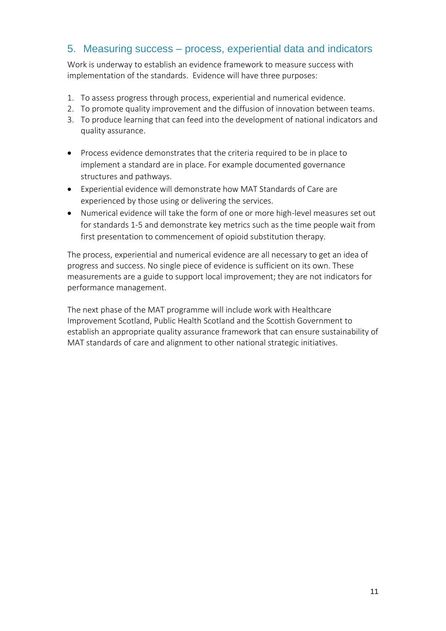## 5. Measuring success – process, experiential data and indicators

Work is underway to establish an evidence framework to measure success with implementation of the standards. Evidence will have three purposes:

- 1. To assess progress through process, experiential and numerical evidence.
- 2. To promote quality improvement and the diffusion of innovation between teams.
- 3. To produce learning that can feed into the development of national indicators and quality assurance.
- Process evidence demonstrates that the criteria required to be in place to implement a standard are in place. For example documented governance structures and pathways.
- Experiential evidence will demonstrate how MAT Standards of Care are experienced by those using or delivering the services.
- Numerical evidence will take the form of one or more high-level measures set out for standards 1-5 and demonstrate key metrics such as the time people wait from first presentation to commencement of opioid substitution therapy.

The process, experiential and numerical evidence are all necessary to get an idea of progress and success. No single piece of evidence is sufficient on its own. These measurements are a guide to support local improvement; they are not indicators for performance management.

The next phase of the MAT programme will include work with Healthcare Improvement Scotland, Public Health Scotland and the Scottish Government to establish an appropriate quality assurance framework that can ensure sustainability of MAT standards of care and alignment to other national strategic initiatives.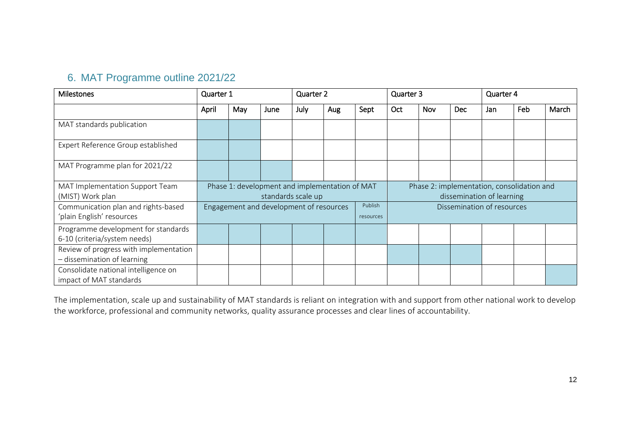# 6. MAT Programme outline 2021/22

| <b>Milestones</b>                                                     | Quarter 1                                                            |     |      | Quarter 2 |     |           | Quarter 3                                                               |            |      | Quarter 4 |     |       |
|-----------------------------------------------------------------------|----------------------------------------------------------------------|-----|------|-----------|-----|-----------|-------------------------------------------------------------------------|------------|------|-----------|-----|-------|
|                                                                       | April                                                                | May | June | July      | Aug | Sept      | Oct                                                                     | <b>Nov</b> | Dec. | Jan       | Feb | March |
| MAT standards publication                                             |                                                                      |     |      |           |     |           |                                                                         |            |      |           |     |       |
| Expert Reference Group established                                    |                                                                      |     |      |           |     |           |                                                                         |            |      |           |     |       |
| MAT Programme plan for 2021/22                                        |                                                                      |     |      |           |     |           |                                                                         |            |      |           |     |       |
| MAT Implementation Support Team<br>(MIST) Work plan                   | Phase 1: development and implementation of MAT<br>standards scale up |     |      |           |     |           | Phase 2: implementation, consolidation and<br>dissemination of learning |            |      |           |     |       |
| Communication plan and rights-based<br>'plain English' resources      | Publish<br>Engagement and development of resources                   |     |      |           |     | resources | Dissemination of resources                                              |            |      |           |     |       |
| Programme development for standards<br>6-10 (criteria/system needs)   |                                                                      |     |      |           |     |           |                                                                         |            |      |           |     |       |
| Review of progress with implementation<br>- dissemination of learning |                                                                      |     |      |           |     |           |                                                                         |            |      |           |     |       |
| Consolidate national intelligence on<br>impact of MAT standards       |                                                                      |     |      |           |     |           |                                                                         |            |      |           |     |       |

The implementation, scale up and sustainability of MAT standards is reliant on integration with and support from other national work to develop the workforce, professional and community networks, quality assurance processes and clear lines of accountability.